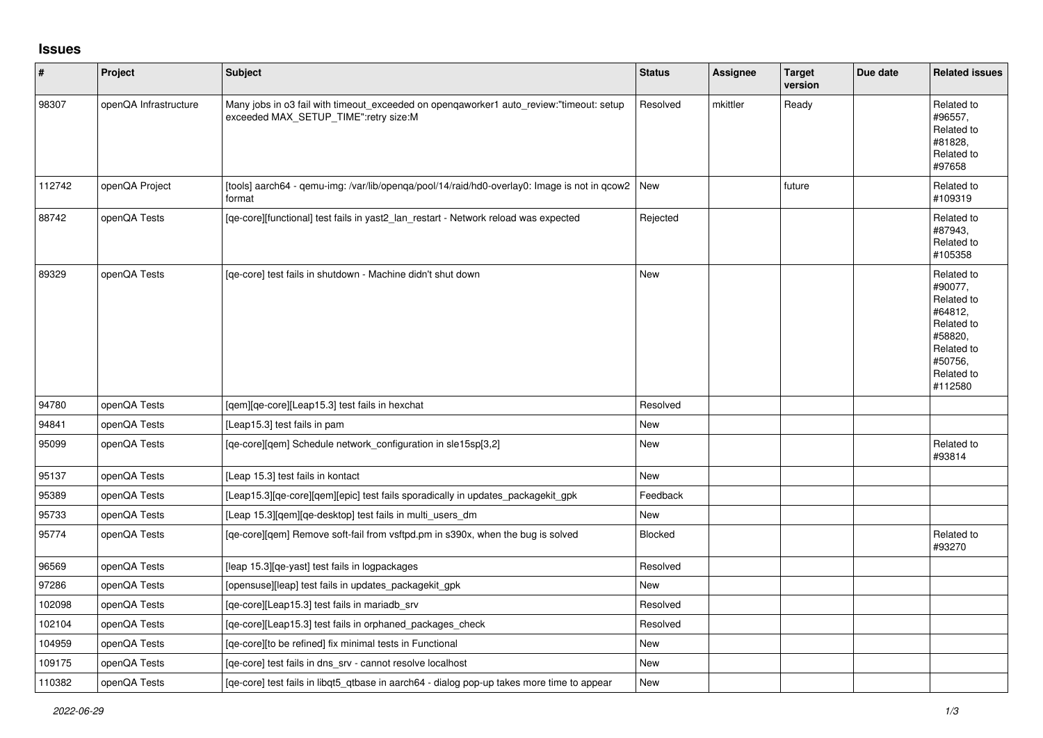## **Issues**

| $\vert$ # | Project               | Subject                                                                                                                          | <b>Status</b> | Assignee | <b>Target</b><br>version | Due date | <b>Related issues</b>                                                                                                     |
|-----------|-----------------------|----------------------------------------------------------------------------------------------------------------------------------|---------------|----------|--------------------------|----------|---------------------------------------------------------------------------------------------------------------------------|
| 98307     | openQA Infrastructure | Many jobs in o3 fail with timeout_exceeded on openqaworker1 auto_review:"timeout: setup<br>exceeded MAX_SETUP_TIME":retry size:M | Resolved      | mkittler | Ready                    |          | Related to<br>#96557,<br>Related to<br>#81828,<br>Related to<br>#97658                                                    |
| 112742    | openQA Project        | tools] aarch64 - qemu-img: /var/lib/openqa/pool/14/raid/hd0-overlay0: Image is not in qcow2  New<br>format                       |               |          | future                   |          | Related to<br>#109319                                                                                                     |
| 88742     | openQA Tests          | [qe-core][functional] test fails in yast2_lan_restart - Network reload was expected                                              | Rejected      |          |                          |          | Related to<br>#87943,<br>Related to<br>#105358                                                                            |
| 89329     | openQA Tests          | [qe-core] test fails in shutdown - Machine didn't shut down                                                                      | <b>New</b>    |          |                          |          | Related to<br>#90077,<br>Related to<br>#64812,<br>Related to<br>#58820,<br>Related to<br>#50756,<br>Related to<br>#112580 |
| 94780     | openQA Tests          | [qem][qe-core][Leap15.3] test fails in hexchat                                                                                   | Resolved      |          |                          |          |                                                                                                                           |
| 94841     | openQA Tests          | [Leap15.3] test fails in pam                                                                                                     | New           |          |                          |          |                                                                                                                           |
| 95099     | openQA Tests          | [qe-core][qem] Schedule network_configuration in sle15sp[3,2]                                                                    | New           |          |                          |          | Related to<br>#93814                                                                                                      |
| 95137     | openQA Tests          | [Leap 15.3] test fails in kontact                                                                                                | New           |          |                          |          |                                                                                                                           |
| 95389     | openQA Tests          | [Leap15.3][qe-core][qem][epic] test fails sporadically in updates_packagekit_gpk                                                 | Feedback      |          |                          |          |                                                                                                                           |
| 95733     | openQA Tests          | [Leap 15.3][gem][ge-desktop] test fails in multi users dm                                                                        | <b>New</b>    |          |                          |          |                                                                                                                           |
| 95774     | openQA Tests          | [qe-core][qem] Remove soft-fail from vsftpd.pm in s390x, when the bug is solved                                                  | Blocked       |          |                          |          | Related to<br>#93270                                                                                                      |
| 96569     | openQA Tests          | [leap 15.3][qe-yast] test fails in logpackages                                                                                   | Resolved      |          |                          |          |                                                                                                                           |
| 97286     | openQA Tests          | [opensuse][leap] test fails in updates_packagekit_gpk                                                                            | New           |          |                          |          |                                                                                                                           |
| 102098    | openQA Tests          | [qe-core][Leap15.3] test fails in mariadb_srv                                                                                    | Resolved      |          |                          |          |                                                                                                                           |
| 102104    | openQA Tests          | [qe-core][Leap15.3] test fails in orphaned_packages_check                                                                        | Resolved      |          |                          |          |                                                                                                                           |
| 104959    | openQA Tests          | [qe-core][to be refined] fix minimal tests in Functional                                                                         | New           |          |                          |          |                                                                                                                           |
| 109175    | openQA Tests          | [qe-core] test fails in dns_srv - cannot resolve localhost                                                                       | <b>New</b>    |          |                          |          |                                                                                                                           |
| 110382    | openQA Tests          | [ge-core] test fails in libgt5 gtbase in aarch64 - dialog pop-up takes more time to appear                                       | New           |          |                          |          |                                                                                                                           |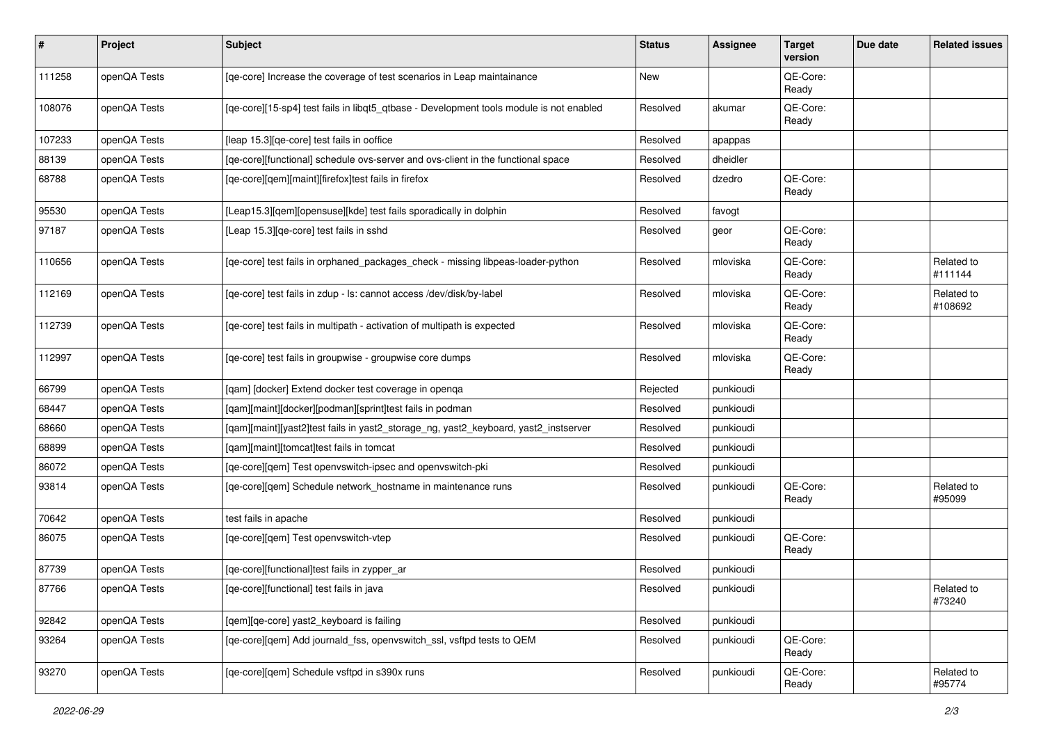| $\sharp$ | Project      | <b>Subject</b>                                                                          | <b>Status</b> | <b>Assignee</b> | <b>Target</b><br>version | Due date | <b>Related issues</b> |
|----------|--------------|-----------------------------------------------------------------------------------------|---------------|-----------------|--------------------------|----------|-----------------------|
| 111258   | openQA Tests | [qe-core] Increase the coverage of test scenarios in Leap maintainance                  | New           |                 | QE-Core:<br>Ready        |          |                       |
| 108076   | openQA Tests | [qe-core][15-sp4] test fails in libqt5_qtbase - Development tools module is not enabled | Resolved      | akumar          | QE-Core:<br>Ready        |          |                       |
| 107233   | openQA Tests | [leap 15.3][qe-core] test fails in ooffice                                              | Resolved      | apappas         |                          |          |                       |
| 88139    | openQA Tests | [ge-core][functional] schedule ovs-server and ovs-client in the functional space        | Resolved      | dheidler        |                          |          |                       |
| 68788    | openQA Tests | [qe-core][qem][maint][firefox]test fails in firefox                                     | Resolved      | dzedro          | QE-Core:<br>Ready        |          |                       |
| 95530    | openQA Tests | [Leap15.3][qem][opensuse][kde] test fails sporadically in dolphin                       | Resolved      | favogt          |                          |          |                       |
| 97187    | openQA Tests | [Leap 15.3][qe-core] test fails in sshd                                                 | Resolved      | geor            | QE-Core:<br>Ready        |          |                       |
| 110656   | openQA Tests | [qe-core] test fails in orphaned_packages_check - missing libpeas-loader-python         | Resolved      | mloviska        | QE-Core:<br>Ready        |          | Related to<br>#111144 |
| 112169   | openQA Tests | [qe-core] test fails in zdup - ls: cannot access /dev/disk/by-label                     | Resolved      | mloviska        | QE-Core:<br>Ready        |          | Related to<br>#108692 |
| 112739   | openQA Tests | [qe-core] test fails in multipath - activation of multipath is expected                 | Resolved      | mloviska        | QE-Core:<br>Ready        |          |                       |
| 112997   | openQA Tests | [qe-core] test fails in groupwise - groupwise core dumps                                | Resolved      | mloviska        | QE-Core:<br>Ready        |          |                       |
| 66799    | openQA Tests | [qam] [docker] Extend docker test coverage in openga                                    | Rejected      | punkioudi       |                          |          |                       |
| 68447    | openQA Tests | [qam][maint][docker][podman][sprint]test fails in podman                                | Resolved      | punkioudi       |                          |          |                       |
| 68660    | openQA Tests | [qam][maint][yast2]test fails in yast2_storage_ng, yast2_keyboard, yast2_instserver     | Resolved      | punkioudi       |                          |          |                       |
| 68899    | openQA Tests | [qam][maint][tomcat]test fails in tomcat                                                | Resolved      | punkioudi       |                          |          |                       |
| 86072    | openQA Tests | [qe-core][qem] Test openvswitch-ipsec and openvswitch-pki                               | Resolved      | punkioudi       |                          |          |                       |
| 93814    | openQA Tests | [qe-core][qem] Schedule network_hostname in maintenance runs                            | Resolved      | punkioudi       | QE-Core:<br>Ready        |          | Related to<br>#95099  |
| 70642    | openQA Tests | test fails in apache                                                                    | Resolved      | punkioudi       |                          |          |                       |
| 86075    | openQA Tests | [qe-core][qem] Test openvswitch-vtep                                                    | Resolved      | punkioudi       | QE-Core:<br>Ready        |          |                       |
| 87739    | openQA Tests | [qe-core][functional]test fails in zypper_ar                                            | Resolved      | punkioudi       |                          |          |                       |
| 87766    | openQA Tests | [qe-core][functional] test fails in java                                                | Resolved      | punkioudi       |                          |          | Related to<br>#73240  |
| 92842    | openQA Tests | [gem][ge-core] yast2_keyboard is failing                                                | Resolved      | punkioudi       |                          |          |                       |
| 93264    | openQA Tests | [qe-core][qem] Add journald_fss, openvswitch_ssl, vsftpd tests to QEM                   | Resolved      | punkioudi       | QE-Core:<br>Ready        |          |                       |
| 93270    | openQA Tests | [qe-core][qem] Schedule vsftpd in s390x runs                                            | Resolved      | punkioudi       | QE-Core:<br>Ready        |          | Related to<br>#95774  |